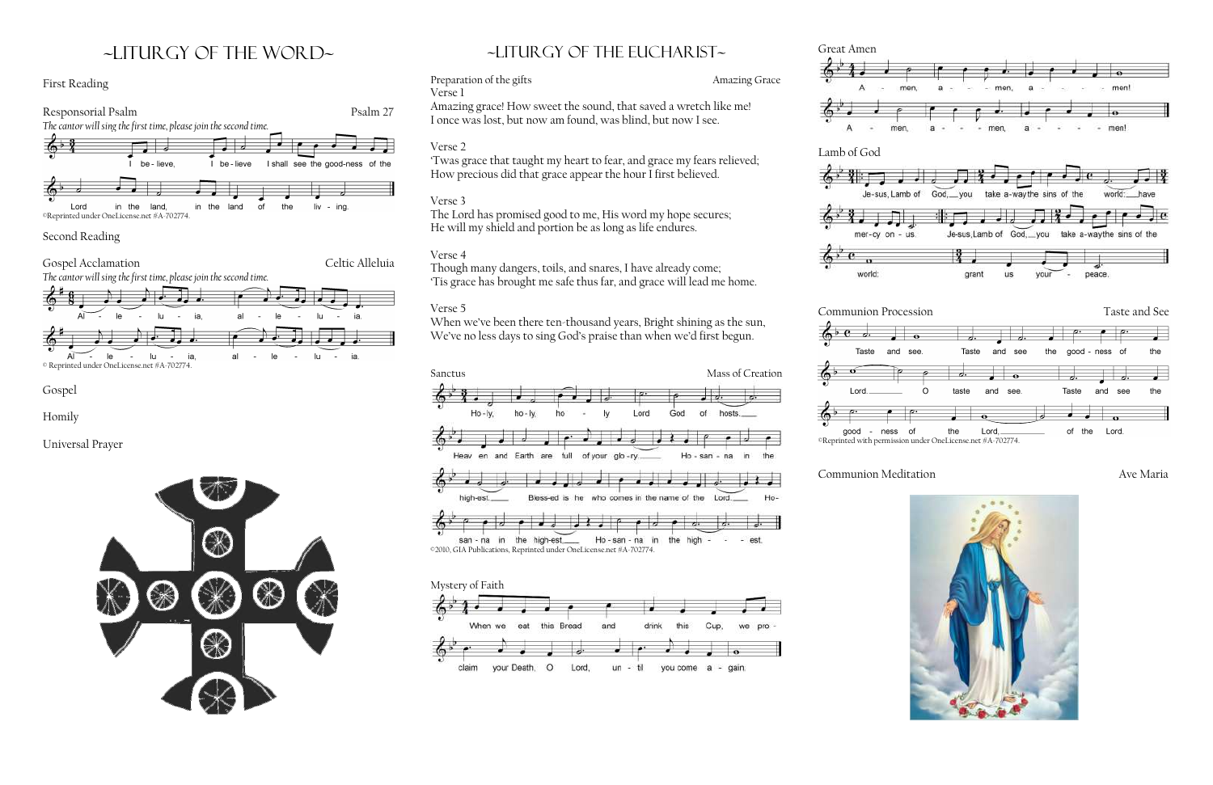# ~liturgy of the word~

#### First Reading



#### Second Reading

#### Preparation of the gifts **Amazing Grace** Verse 1



'Twas grace that taught my heart to fear, and grace my fears relieved; How precious did that grace appear the hour I first believed.



Gospel

Homily

Universal Prayer



# $\sim$ LITURGY OF THE EUCHARIST $\sim$

Amazing grace! How sweet the sound, that saved a wretch like me! I once was lost, but now am found, was blind, but now I see.

When we've been there ten-thousand years, Bright shining as the sun, We've no less days to sing God's praise than when we'd first begun.

# Verse 2

## Verse 3

The Lord has promised good to me, His word my hope secures; He will my shield and portion be as long as life endures.

### Verse 4

Though many dangers, toils, and snares, I have already come; 'Tis grace has brought me safe thus far, and grace will lead me home.

## Verse 5



san - na in the high-est. Ho-san-na in the high ©2010, GIA Publications, Reprinted under OneLicense.net #A-702774.



Great Amen





good - ness of

## Communion Meditation **Ave Maria**